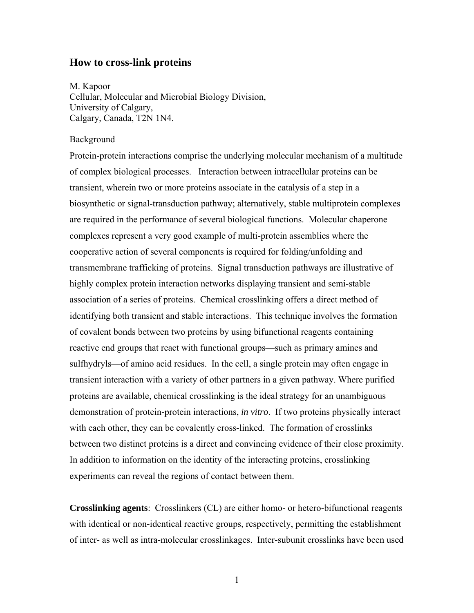## **How to cross-link proteins**

M. Kapoor Cellular, Molecular and Microbial Biology Division, University of Calgary, Calgary, Canada, T2N 1N4.

## Background

Protein-protein interactions comprise the underlying molecular mechanism of a multitude of complex biological processes. Interaction between intracellular proteins can be transient, wherein two or more proteins associate in the catalysis of a step in a biosynthetic or signal-transduction pathway; alternatively, stable multiprotein complexes are required in the performance of several biological functions. Molecular chaperone complexes represent a very good example of multi-protein assemblies where the cooperative action of several components is required for folding/unfolding and transmembrane trafficking of proteins. Signal transduction pathways are illustrative of highly complex protein interaction networks displaying transient and semi-stable association of a series of proteins. Chemical crosslinking offers a direct method of identifying both transient and stable interactions. This technique involves the formation of covalent bonds between two proteins by using bifunctional reagents containing reactive end groups that react with functional groups—such as primary amines and sulfhydryls—of amino acid residues. In the cell, a single protein may often engage in transient interaction with a variety of other partners in a given pathway. Where purified proteins are available, chemical crosslinking is the ideal strategy for an unambiguous demonstration of protein-protein interactions, *in vitro*. If two proteins physically interact with each other, they can be covalently cross-linked. The formation of crosslinks between two distinct proteins is a direct and convincing evidence of their close proximity. In addition to information on the identity of the interacting proteins, crosslinking experiments can reveal the regions of contact between them.

**Crosslinking agents**: Crosslinkers (CL) are either homo- or hetero-bifunctional reagents with identical or non-identical reactive groups, respectively, permitting the establishment of inter- as well as intra-molecular crosslinkages. Inter-subunit crosslinks have been used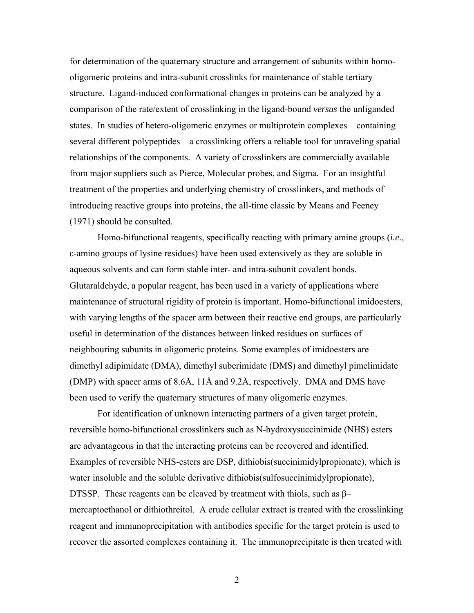for determination of the quaternary structure and arrangement of subunits within homooligomeric proteins and intra-subunit crosslinks for maintenance of stable tertiary structure. Ligand-induced conformational changes in proteins can be analyzed by a comparison of the rate/extent of crosslinking in the ligand-bound *versus* the unliganded states. In studies of hetero-oligomeric enzymes or multiprotein complexes—containing several different polypeptides—a crosslinking offers a reliable tool for unraveling spatial relationships of the components. A variety of crosslinkers are commercially available from major suppliers such as Pierce, Molecular probes, and Sigma. For an insightful treatment of the properties and underlying chemistry of crosslinkers, and methods of introducing reactive groups into proteins, the all-time classic by Means and Feeney (1971) should be consulted.

Homo-bifunctional reagents, specifically reacting with primary amine groups (*i.e*., ε-amino groups of lysine residues) have been used extensively as they are soluble in aqueous solvents and can form stable inter- and intra-subunit covalent bonds. Glutaraldehyde, a popular reagent, has been used in a variety of applications where maintenance of structural rigidity of protein is important. Homo-bifunctional imidoesters, with varying lengths of the spacer arm between their reactive end groups, are particularly useful in determination of the distances between linked residues on surfaces of neighbouring subunits in oligomeric proteins. Some examples of imidoesters are dimethyl adipimidate (DMA), dimethyl suberimidate (DMS) and dimethyl pimelimidate (DMP) with spacer arms of 8.6Å, 11Å and 9.2Å, respectively. DMA and DMS have been used to verify the quaternary structures of many oligomeric enzymes.

For identification of unknown interacting partners of a given target protein, reversible homo-bifunctional crosslinkers such as N-hydroxysuccinimide (NHS) esters are advantageous in that the interacting proteins can be recovered and identified. Examples of reversible NHS-esters are DSP, dithiobis(succinimidylpropionate), which is water insoluble and the soluble derivative dithiobis(sulfosuccinimidylpropionate), DTSSP. These reagents can be cleaved by treatment with thiols, such as  $\beta$ mercaptoethanol or dithiothreitol. A crude cellular extract is treated with the crosslinking reagent and immunoprecipitation with antibodies specific for the target protein is used to recover the assorted complexes containing it. The immunoprecipitate is then treated with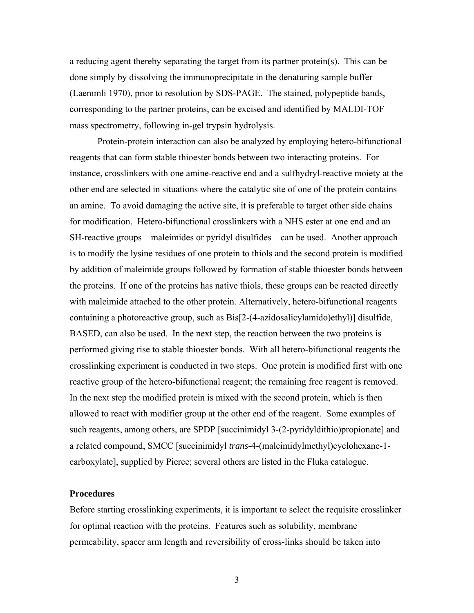a reducing agent thereby separating the target from its partner protein(s). This can be done simply by dissolving the immunoprecipitate in the denaturing sample buffer (Laemmli 1970), prior to resolution by SDS-PAGE. The stained, polypeptide bands, corresponding to the partner proteins, can be excised and identified by MALDI-TOF mass spectrometry, following in-gel trypsin hydrolysis.

Protein-protein interaction can also be analyzed by employing hetero-bifunctional reagents that can form stable thioester bonds between two interacting proteins. For instance, crosslinkers with one amine-reactive end and a sulfhydryl-reactive moiety at the other end are selected in situations where the catalytic site of one of the protein contains an amine. To avoid damaging the active site, it is preferable to target other side chains for modification. Hetero-bifunctional crosslinkers with a NHS ester at one end and an SH-reactive groups—maleimides or pyridyl disulfides—can be used. Another approach is to modify the lysine residues of one protein to thiols and the second protein is modified by addition of maleimide groups followed by formation of stable thioester bonds between the proteins. If one of the proteins has native thiols, these groups can be reacted directly with maleimide attached to the other protein. Alternatively, hetero-bifunctional reagents containing a photoreactive group, such as Bis[2-(4-azidosalicylamido)ethyl)] disulfide, BASED, can also be used. In the next step, the reaction between the two proteins is performed giving rise to stable thioester bonds. With all hetero-bifunctional reagents the crosslinking experiment is conducted in two steps. One protein is modified first with one reactive group of the hetero-bifunctional reagent; the remaining free reagent is removed. In the next step the modified protein is mixed with the second protein, which is then allowed to react with modifier group at the other end of the reagent. Some examples of such reagents, among others, are SPDP [succinimidyl 3-(2-pyridyldithio)propionate] and a related compound, SMCC [succinimidyl *trans*-4-(maleimidylmethyl)cyclohexane-1 carboxylate], supplied by Pierce; several others are listed in the Fluka catalogue.

## **Procedures**

Before starting crosslinking experiments, it is important to select the requisite crosslinker for optimal reaction with the proteins. Features such as solubility, membrane permeability, spacer arm length and reversibility of cross-links should be taken into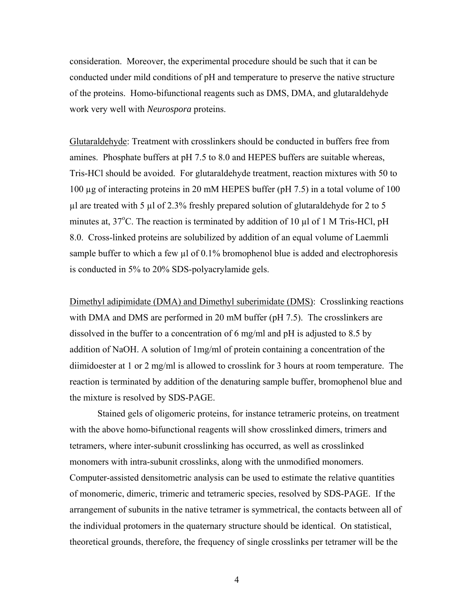consideration. Moreover, the experimental procedure should be such that it can be conducted under mild conditions of pH and temperature to preserve the native structure of the proteins. Homo-bifunctional reagents such as DMS, DMA, and glutaraldehyde work very well with *Neurospora* proteins.

Glutaraldehyde: Treatment with crosslinkers should be conducted in buffers free from amines. Phosphate buffers at pH 7.5 to 8.0 and HEPES buffers are suitable whereas, Tris-HCl should be avoided. For glutaraldehyde treatment, reaction mixtures with 50 to 100 µg of interacting proteins in 20 mM HEPES buffer (pH 7.5) in a total volume of 100  $\mu$ l are treated with 5  $\mu$ l of 2.3% freshly prepared solution of glutaraldehyde for 2 to 5 minutes at,  $37^{\circ}$ C. The reaction is terminated by addition of 10  $\mu$ l of 1 M Tris-HCl, pH 8.0. Cross-linked proteins are solubilized by addition of an equal volume of Laemmli sample buffer to which a few µl of 0.1% bromophenol blue is added and electrophoresis is conducted in 5% to 20% SDS-polyacrylamide gels.

Dimethyl adipimidate (DMA) and Dimethyl suberimidate (DMS): Crosslinking reactions with DMA and DMS are performed in 20 mM buffer (pH 7.5). The crosslinkers are dissolved in the buffer to a concentration of 6 mg/ml and pH is adjusted to 8.5 by addition of NaOH. A solution of 1mg/ml of protein containing a concentration of the diimidoester at 1 or 2 mg/ml is allowed to crosslink for 3 hours at room temperature. The reaction is terminated by addition of the denaturing sample buffer, bromophenol blue and the mixture is resolved by SDS-PAGE.

Stained gels of oligomeric proteins, for instance tetrameric proteins, on treatment with the above homo-bifunctional reagents will show crosslinked dimers, trimers and tetramers, where inter-subunit crosslinking has occurred, as well as crosslinked monomers with intra-subunit crosslinks, along with the unmodified monomers. Computer-assisted densitometric analysis can be used to estimate the relative quantities of monomeric, dimeric, trimeric and tetrameric species, resolved by SDS-PAGE. If the arrangement of subunits in the native tetramer is symmetrical, the contacts between all of the individual protomers in the quaternary structure should be identical. On statistical, theoretical grounds, therefore, the frequency of single crosslinks per tetramer will be the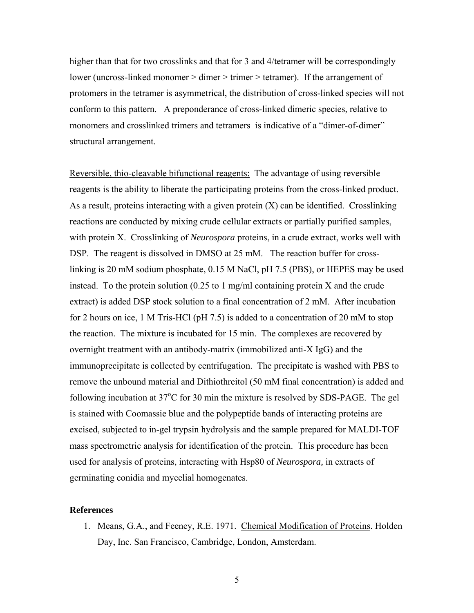higher than that for two crosslinks and that for 3 and 4/tetramer will be correspondingly lower (uncross-linked monomer > dimer > trimer > tetramer). If the arrangement of protomers in the tetramer is asymmetrical, the distribution of cross-linked species will not conform to this pattern. A preponderance of cross-linked dimeric species, relative to monomers and crosslinked trimers and tetramers is indicative of a "dimer-of-dimer" structural arrangement.

Reversible, thio-cleavable bifunctional reagents: The advantage of using reversible reagents is the ability to liberate the participating proteins from the cross-linked product. As a result, proteins interacting with a given protein (X) can be identified. Crosslinking reactions are conducted by mixing crude cellular extracts or partially purified samples, with protein X. Crosslinking of *Neurospora* proteins, in a crude extract, works well with DSP. The reagent is dissolved in DMSO at 25 mM. The reaction buffer for crosslinking is 20 mM sodium phosphate, 0.15 M NaCl, pH 7.5 (PBS), or HEPES may be used instead. To the protein solution  $(0.25 \text{ to } 1 \text{ mg/ml containing protein X and the crude})$ extract) is added DSP stock solution to a final concentration of 2 mM. After incubation for 2 hours on ice, 1 M Tris-HCl (pH 7.5) is added to a concentration of 20 mM to stop the reaction. The mixture is incubated for 15 min. The complexes are recovered by overnight treatment with an antibody-matrix (immobilized anti-X IgG) and the immunoprecipitate is collected by centrifugation. The precipitate is washed with PBS to remove the unbound material and Dithiothreitol (50 mM final concentration) is added and following incubation at 37°C for 30 min the mixture is resolved by SDS-PAGE. The gel is stained with Coomassie blue and the polypeptide bands of interacting proteins are excised, subjected to in-gel trypsin hydrolysis and the sample prepared for MALDI-TOF mass spectrometric analysis for identification of the protein. This procedure has been used for analysis of proteins, interacting with Hsp80 of *Neurospora,* in extracts of germinating conidia and mycelial homogenates.

## **References**

1. Means, G.A., and Feeney, R.E. 1971. Chemical Modification of Proteins. Holden Day, Inc. San Francisco, Cambridge, London, Amsterdam.